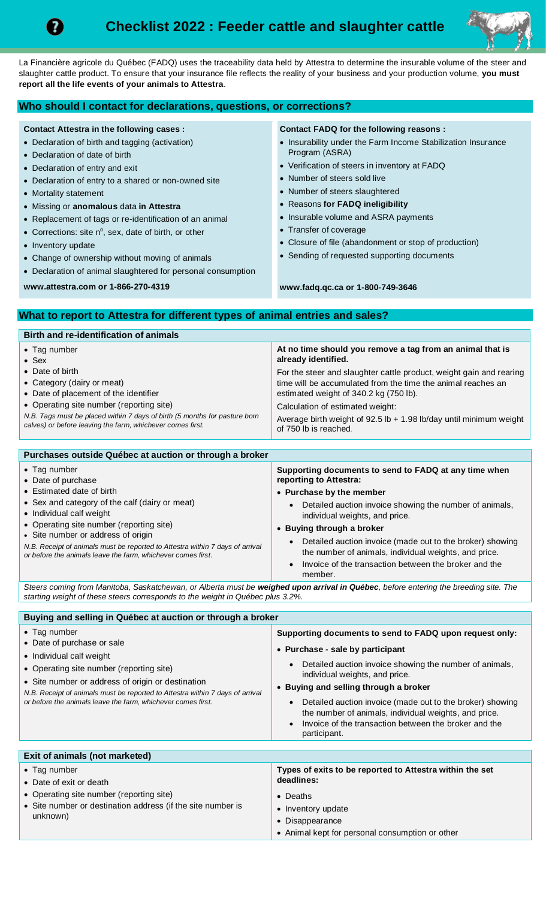



La Financière agricole du Québec (FADQ) uses the traceability data held by Attestra to determine the insurable volume of the steer and slaughter cattle product. To ensure that your insurance file reflects the reality of your business and your production volume, **you must report all the life events of your animals to Attestra**.

## **Who should I contact for declarations, questions, or corrections?**

### **Contact Attestra in the following cases :**

- Declaration of birth and tagging (activation)
- Declaration of date of birth
- Declaration of entry and exit
- Declaration of entry to a shared or non-owned site
- Mortality statement
- Missing or **anomalous** data **in Attestra**
- Replacement of tags or re-identification of an animal
- Corrections: site  $n^{\circ}$ , sex, date of birth, or other
- Inventory update
- Change of ownership without moving of animals
- Declaration of animal slaughtered for personal consumption

**www.attestra.com or 1-866-270-4319**

**Contact FADQ for the following reasons :**

- Insurability under the Farm Income Stabilization Insurance Program (ASRA)
- Verification of steers in inventory at FADQ
- Number of steers sold live
- Number of steers slaughtered
- Reasons **for FADQ ineligibility**
- Insurable volume and ASRA payments
- Transfer of coverage
- Closure of file (abandonment or stop of production)
- Sending of requested supporting documents

**www.fadq.qc.ca or 1-800-749-3646**

# **What to report to Attestra for different types of animal entries and sales?**

| Birth and re-identification of animals                                     |                                                                      |
|----------------------------------------------------------------------------|----------------------------------------------------------------------|
| $\bullet$ Tag number                                                       | At no time should you remove a tag from an animal that is            |
| $\bullet$ Sex                                                              | already identified.                                                  |
| • Date of birth                                                            | For the steer and slaughter cattle product, weight gain and rearing  |
| • Category (dairy or meat)                                                 | time will be accumulated from the time the animal reaches an         |
| • Date of placement of the identifier                                      | estimated weight of 340.2 kg (750 lb).                               |
| • Operating site number (reporting site)                                   | Calculation of estimated weight:                                     |
| N.B. Tags must be placed within 7 days of birth (5 months for pasture born | Average birth weight of $92.5$ lb + 1.98 lb/day until minimum weight |
| calves) or before leaving the farm, whichever comes first.                 | of 750 lb is reached.                                                |

#### **Purchases outside Québec at auction or through a broker** • Tag number • Date of purchase • Estimated date of birth • Sex and category of the calf (dairy or meat) • Individual calf weight • Operating site number (reporting site) • Site number or address of origin *N.B. Receipt of animals must be reported to Attestra within 7 days of arrival or before the animals leave the farm, whichever comes first.* **Supporting documents to send to FADQ at any time when reporting to Attestra:** • **Purchase by the member** Detailed auction invoice showing the number of animals, individual weights, and price. • **Buying through a broker** • Detailed auction invoice (made out to the broker) showing the number of animals, individual weights, and price. • Invoice of the transaction between the broker and the member.

*Steers coming from Manitoba, Saskatchewan, or Alberta must be weighed upon arrival in Québec, before entering the breeding site. The starting weight of these steers corresponds to the weight in Québec plus 3.2%.*

| Buying and selling in Québec at auction or through a broker                                                                                                                                                                                                                                                                      |                                                                                                                                                                                                                                                                                                                                                                                                                                  |
|----------------------------------------------------------------------------------------------------------------------------------------------------------------------------------------------------------------------------------------------------------------------------------------------------------------------------------|----------------------------------------------------------------------------------------------------------------------------------------------------------------------------------------------------------------------------------------------------------------------------------------------------------------------------------------------------------------------------------------------------------------------------------|
| $\bullet$ Tag number<br>• Date of purchase or sale<br>• Individual calf weight<br>• Operating site number (reporting site)<br>• Site number or address of origin or destination<br>N.B. Receipt of animals must be reported to Attestra within 7 days of arrival<br>or before the animals leave the farm, whichever comes first. | Supporting documents to send to FADQ upon request only:<br>• Purchase - sale by participant<br>Detailed auction invoice showing the number of animals,<br>individual weights, and price.<br>• Buying and selling through a broker<br>Detailed auction invoice (made out to the broker) showing<br>the number of animals, individual weights, and price.<br>Invoice of the transaction between the broker and the<br>participant. |
|                                                                                                                                                                                                                                                                                                                                  |                                                                                                                                                                                                                                                                                                                                                                                                                                  |
| Exit of animals (not marketed)                                                                                                                                                                                                                                                                                                   |                                                                                                                                                                                                                                                                                                                                                                                                                                  |
| • Tag number<br>• Date of exit or death<br>• Operating site number (reporting site)<br>• Site number or destination address (if the site number is<br>unknown)                                                                                                                                                                   | Types of exits to be reported to Attestra within the set<br>deadlines:<br>• Deaths<br>• Inventory update<br>• Disappearance<br>• Animal kept for personal consumption or other                                                                                                                                                                                                                                                   |